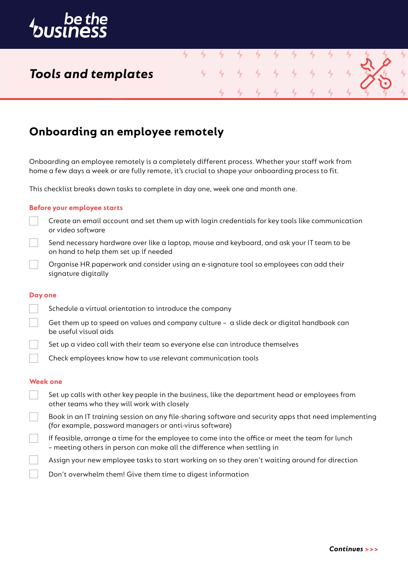

## *Tools and templates*

### **Onboarding an employee remotely**

Onboarding an employee remotely is a completely different process. Whether your staff work from home a few days a week or are fully remote, it's crucial to shape your onboarding process to fit.

4

This checklist breaks down tasks to complete in day one, week one and month one.

#### **Before your employee starts**

- Create an email account and set them up with login credentials for key tools like communication or video software
- Send necessary hardware over like a laptop, mouse and keyboard, and ask your IT team to be on hand to help them set up if needed
- Organise HR paperwork and consider using an e-signature tool so employees can add their signature digitally

#### **Day one**

- Schedule a virtual orientation to introduce the company
	- Get them up to speed on values and company culture a slide deck or digital handbook can be useful visual aids
- Set up a video call with their team so everyone else can introduce themselves
- Check employees know how to use relevant communication tools

#### **Week one**

- Set up calls with other key people in the business, like the department head or employees from other teams who they will work with closely
- Book in an IT training session on any file-sharing software and security apps that need implementing (for example, password managers or anti-virus software)
- If feasible, arrange a time for the employee to come into the office or meet the team for lunch – meeting others in person can make all the difference when settling in
- Assign your new employee tasks to start working on so they aren't waiting around for direction
- Don't overwhelm them! Give them time to digest information